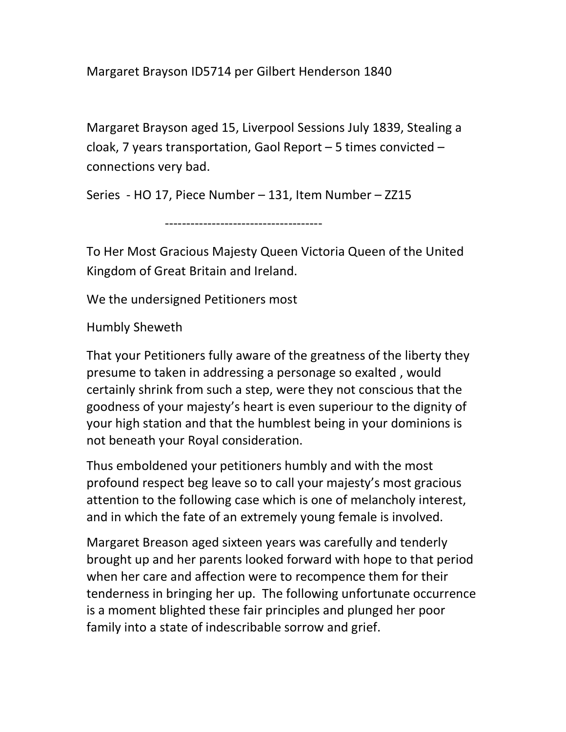Margaret Brayson ID5714 per Gilbert Henderson 1840

Margaret Brayson aged 15, Liverpool Sessions July 1839, Stealing a cloak, 7 years transportation, Gaol Report – 5 times convicted – connections very bad.

Series - HO 17, Piece Number – 131, Item Number – ZZ15

-------------------------------------

To Her Most Gracious Majesty Queen Victoria Queen of the United Kingdom of Great Britain and Ireland.

We the undersigned Petitioners most

Humbly Sheweth

That your Petitioners fully aware of the greatness of the liberty they presume to taken in addressing a personage so exalted , would certainly shrink from such a step, were they not conscious that the goodness of your majesty's heart is even superiour to the dignity of your high station and that the humblest being in your dominions is not beneath your Royal consideration.

Thus emboldened your petitioners humbly and with the most profound respect beg leave so to call your majesty's most gracious attention to the following case which is one of melancholy interest, and in which the fate of an extremely young female is involved.

Margaret Breason aged sixteen years was carefully and tenderly brought up and her parents looked forward with hope to that period when her care and affection were to recompence them for their tenderness in bringing her up. The following unfortunate occurrence is a moment blighted these fair principles and plunged her poor family into a state of indescribable sorrow and grief.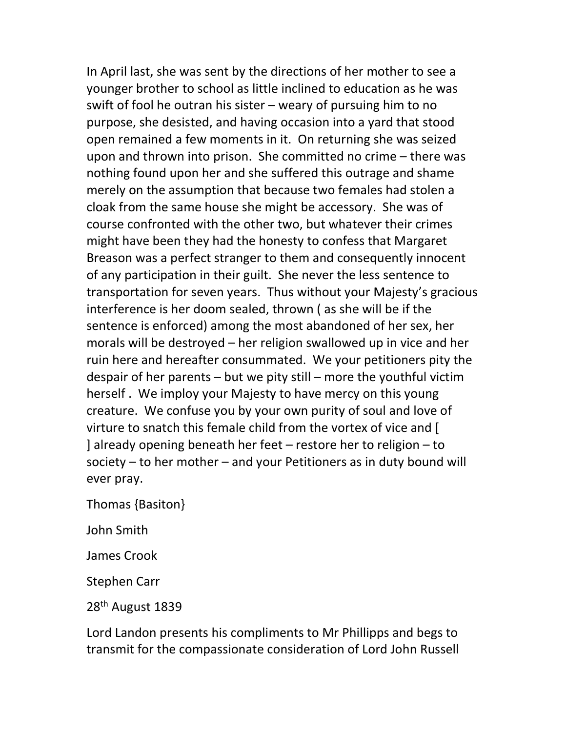In April last, she was sent by the directions of her mother to see a younger brother to school as little inclined to education as he was swift of fool he outran his sister – weary of pursuing him to no purpose, she desisted, and having occasion into a yard that stood open remained a few moments in it. On returning she was seized upon and thrown into prison. She committed no crime – there was nothing found upon her and she suffered this outrage and shame merely on the assumption that because two females had stolen a cloak from the same house she might be accessory. She was of course confronted with the other two, but whatever their crimes might have been they had the honesty to confess that Margaret Breason was a perfect stranger to them and consequently innocent of any participation in their guilt. She never the less sentence to transportation for seven years. Thus without your Majesty's gracious interference is her doom sealed, thrown ( as she will be if the sentence is enforced) among the most abandoned of her sex, her morals will be destroyed – her religion swallowed up in vice and her ruin here and hereafter consummated. We your petitioners pity the despair of her parents – but we pity still – more the youthful victim herself . We imploy your Majesty to have mercy on this young creature. We confuse you by your own purity of soul and love of virture to snatch this female child from the vortex of vice and [ ] already opening beneath her feet – restore her to religion – to society – to her mother – and your Petitioners as in duty bound will ever pray.

Thomas {Basiton}

John Smith

James Crook

Stephen Carr

28th August 1839

Lord Landon presents his compliments to Mr Phillipps and begs to transmit for the compassionate consideration of Lord John Russell